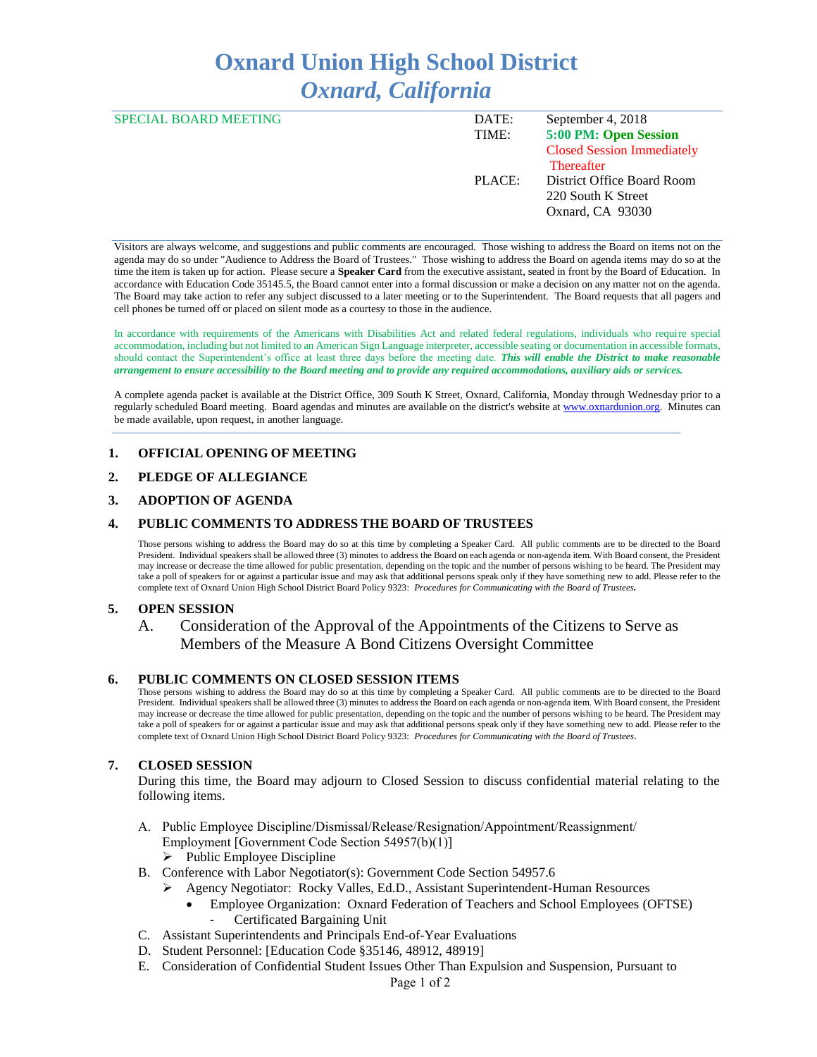# **Oxnard Union High School District** *Oxnard, California*

| <b>SPECIAL BOARD MEETING</b> | DATE:  | September 4, 2018                 |
|------------------------------|--------|-----------------------------------|
|                              | TIME:  | 5:00 PM: Open Session             |
|                              |        | <b>Closed Session Immediately</b> |
|                              |        | <b>Thereafter</b>                 |
|                              | PLACE: | District Office Board Room        |
|                              |        | 220 South K Street                |
|                              |        | Oxnard, CA 93030                  |
|                              |        |                                   |

Visitors are always welcome, and suggestions and public comments are encouraged. Those wishing to address the Board on items not on the agenda may do so under "Audience to Address the Board of Trustees." Those wishing to address the Board on agenda items may do so at the time the item is taken up for action. Please secure a **Speaker Card** from the executive assistant, seated in front by the Board of Education. In accordance with Education Code 35145.5, the Board cannot enter into a formal discussion or make a decision on any matter not on the agenda. The Board may take action to refer any subject discussed to a later meeting or to the Superintendent. The Board requests that all pagers and cell phones be turned off or placed on silent mode as a courtesy to those in the audience.

In accordance with requirements of the Americans with Disabilities Act and related federal regulations, individuals who require special accommodation, including but not limited to an American Sign Language interpreter, accessible seating or documentation in accessible formats, should contact the Superintendent's office at least three days before the meeting date. *This will enable the District to make reasonable arrangement to ensure accessibility to the Board meeting and to provide any required accommodations, auxiliary aids or services.* 

A complete agenda packet is available at the District Office, 309 South K Street, Oxnard, California, Monday through Wednesday prior to a regularly scheduled Board meeting. Board agendas and minutes are available on the district's website a[t www.ox](http://www.o/)nardunion.org.Minutes can be made available, upon request, in another language.

## **1. OFFICIAL OPENING OF MEETING**

## **2. PLEDGE OF ALLEGIANCE**

### **3. ADOPTION OF AGENDA**

#### **4. PUBLIC COMMENTS TO ADDRESS THE BOARD OF TRUSTEES**

Those persons wishing to address the Board may do so at this time by completing a Speaker Card. All public comments are to be directed to the Board President. Individual speakers shall be allowed three (3) minutes to address the Board on each agenda or non-agenda item. With Board consent, the President may increase or decrease the time allowed for public presentation, depending on the topic and the number of persons wishing to be heard. The President may take a poll of speakers for or against a particular issue and may ask that additional persons speak only if they have something new to add. Please refer to the complete text of Oxnard Union High School District Board Policy 9323: *Procedures for Communicating with the Board of Trustees.*

#### **5. OPEN SESSION**

# A. Consideration of the Approval of the Appointments of the Citizens to Serve as Members of the Measure A Bond Citizens Oversight Committee

#### **6. PUBLIC COMMENTS ON CLOSED SESSION ITEMS**

Those persons wishing to address the Board may do so at this time by completing a Speaker Card. All public comments are to be directed to the Board President. Individual speakers shall be allowed three (3) minutes to address the Board on each agenda or non-agenda item. With Board consent, the President may increase or decrease the time allowed for public presentation, depending on the topic and the number of persons wishing to be heard. The President may take a poll of speakers for or against a particular issue and may ask that additional persons speak only if they have something new to add. Please refer to the complete text of Oxnard Union High School District Board Policy 9323: *Procedures for Communicating with the Board of Trustees*.

#### **7. CLOSED SESSION**

During this time, the Board may adjourn to Closed Session to discuss confidential material relating to the following items.

- A. Public Employee Discipline/Dismissal/Release/Resignation/Appointment/Reassignment/ Employment [Government Code Section 54957(b)(1)] ➢ Public Employee Discipline
- B. Conference with Labor Negotiator(s): Government Code Section 54957.6
	- ➢ Agency Negotiator: Rocky Valles, Ed.D., Assistant Superintendent-Human Resources
		- Employee Organization: Oxnard Federation of Teachers and School Employees (OFTSE) Certificated Bargaining Unit
- C. Assistant Superintendents and Principals End-of-Year Evaluations
- D. Student Personnel: [Education Code §35146, 48912, 48919]
- E. Consideration of Confidential Student Issues Other Than Expulsion and Suspension, Pursuant to